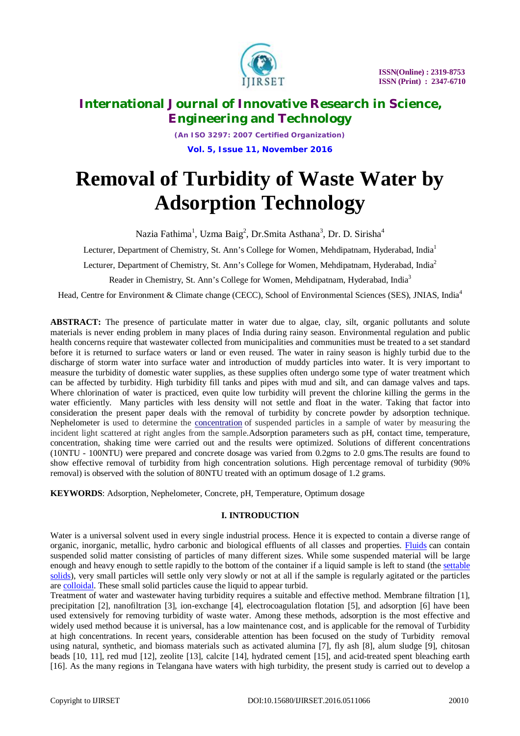

*(An ISO 3297: 2007 Certified Organization)* **Vol. 5, Issue 11, November 2016**

# **Removal of Turbidity of Waste Water by Adsorption Technology**

Nazia Fathima<sup>1</sup>, Uzma Baig<sup>2</sup>, Dr.Smita Asthana<sup>3</sup>, Dr. D. Sirisha<sup>4</sup>

Lecturer, Department of Chemistry, St. Ann's College for Women, Mehdipatnam, Hyderabad, India<sup>1</sup>

Lecturer, Department of Chemistry, St. Ann's College for Women, Mehdipatnam, Hyderabad, India<sup>2</sup>

Reader in Chemistry, St. Ann's College for Women, Mehdipatnam, Hyderabad, India<sup>3</sup>

Head, Centre for Environment & Climate change (CECC), School of Environmental Sciences (SES), JNIAS, India<sup>4</sup>

**ABSTRACT:** The presence of particulate matter in water due to algae, clay, silt, organic pollutants and solute materials is never ending problem in many places of India during rainy season. Environmental regulation and public health concerns require that wastewater collected from municipalities and communities must be treated to a set standard before it is returned to surface waters or land or even reused. The water in rainy season is highly turbid due to the discharge of storm water into surface water and introduction of muddy particles into water. It is very important to measure the turbidity of domestic water supplies, as these supplies often undergo some type of water treatment which can be affected by turbidity. High turbidity fill tanks and pipes with mud and silt, and can damage valves and taps. Where chlorination of water is practiced, even quite low turbidity will prevent the chlorine killing the germs in the water efficiently. Many particles with less density will not settle and float in the water. Taking that factor into consideration the present paper deals with the removal of turbidity by concrete powder by adsorption technique. Nephelometer is used to determine the concentration of suspended particles in a sample of water by measuring the incident light scattered at right angles from the sample.Adsorption parameters such as pH, contact time, temperature, concentration, shaking time were carried out and the results were optimized. Solutions of different concentrations (10NTU - 100NTU) were prepared and concrete dosage was varied from 0.2gms to 2.0 gms.The results are found to show effective removal of turbidity from high concentration solutions. High percentage removal of turbidity (90% removal) is observed with the solution of 80NTU treated with an optimum dosage of 1.2 grams.

**KEYWORDS**: Adsorption, Nephelometer, Concrete, pH, Temperature, Optimum dosage

# **I. INTRODUCTION**

Water is a universal solvent used in every single industrial process. Hence it is expected to contain a diverse range of organic, inorganic, metallic, hydro carbonic and biological effluents of all classes and properties. Fluids can contain suspended solid matter consisting of particles of many different sizes. While some suspended material will be large enough and heavy enough to settle rapidly to the bottom of the container if a liquid sample is left to stand (the settable solids), very small particles will settle only very slowly or not at all if the sample is regularly agitated or the particles are colloidal. These small solid particles cause the liquid to appear turbid.

Treatment of water and wastewater having turbidity requires a suitable and effective method. Membrane filtration [1], precipitation [2], nanofiltration [3], ion-exchange [4], electrocoagulation flotation [5], and adsorption [6] have been used extensively for removing turbidity of waste water. Among these methods, adsorption is the most effective and widely used method because it is universal, has a low maintenance cost, and is applicable for the removal of Turbidity at high concentrations. In recent years, considerable attention has been focused on the study of Turbidity removal using natural, synthetic, and biomass materials such as activated alumina [7], fly ash [8], alum sludge [9], chitosan beads [10, 11], red mud [12], zeolite [13], calcite [14], hydrated cement [15], and acid-treated spent bleaching earth [16]. As the many regions in Telangana have waters with high turbidity, the present study is carried out to develop a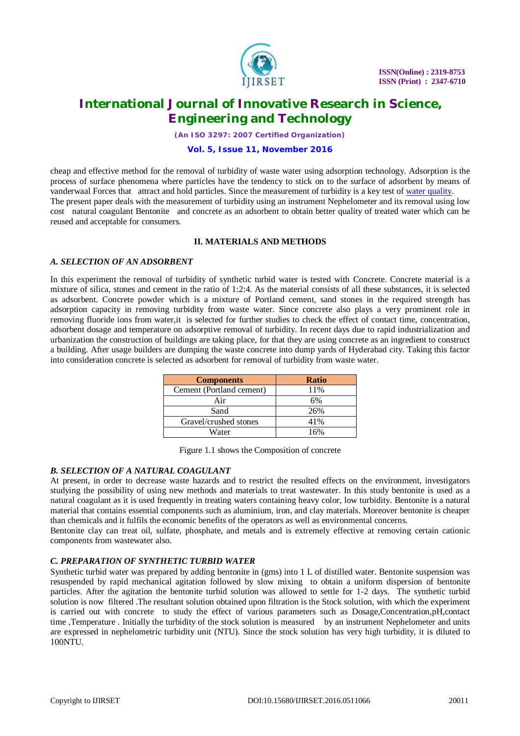

*(An ISO 3297: 2007 Certified Organization)*

## **Vol. 5, Issue 11, November 2016**

cheap and effective method for the removal of turbidity of waste water using adsorption technology. Adsorption is the process of surface phenomena where particles have the tendency to stick on to the surface of adsorbent by means of vanderwaal Forces that attract and hold particles. Since the measurement of turbidity is a key test of water quality. The present paper deals with the measurement of turbidity using an instrument Nephelometer and its removal using low cost natural coagulant Bentonite and concrete as an adsorbent to obtain better quality of treated water which can be reused and acceptable for consumers.

# **II. MATERIALS AND METHODS**

# *A. SELECTION OF AN ADSORBENT*

In this experiment the removal of turbidity of synthetic turbid water is tested with Concrete. Concrete material is a mixture of silica, stones and cement in the ratio of 1:2:4. As the material consists of all these substances, it is selected as adsorbent. Concrete powder which is a mixture of Portland cement, sand stones in the required strength has adsorption capacity in removing turbidity from waste water. Since concrete also plays a very prominent role in removing fluoride ions from water,it is selected for further studies to check the effect of contact time, concentration, adsorbent dosage and temperature on adsorptive removal of turbidity. In recent days due to rapid industrialization and urbanization the construction of buildings are taking place, for that they are using concrete as an ingredient to construct a building. After usage builders are dumping the waste concrete into dump yards of Hyderabad city. Taking this factor into consideration concrete is selected as adsorbent for removal of turbidity from waste water.

| <b>Components</b>        | <b>Ratio</b> |
|--------------------------|--------------|
| Cement (Portland cement) | 11%          |
| Air                      | 6%           |
| Sand                     | 26%          |
| Gravel/crushed stones    | 41%          |
| Water                    | 16%          |

Figure 1.1 shows the Composition of concrete

### *B. SELECTION OF A NATURAL COAGULANT*

At present, in order to decrease waste hazards and to restrict the resulted effects on the environment, investigators studying the possibility of using new methods and materials to treat wastewater. In this study bentonite is used as a natural coagulant as it is used frequently in treating waters containing heavy color, low turbidity. Bentonite is a natural material that contains essential components such as aluminium, iron, and clay materials. Moreover bentonite is cheaper than chemicals and it fulfils the economic benefits of the operators as well as environmental concerns.

Bentonite clay can treat oil, sulfate, phosphate, and metals and is extremely effective at removing certain cationic components from wastewater also.

# *C. PREPARATION OF SYNTHETIC TURBID WATER*

Synthetic turbid water was prepared by adding bentonite in (gms) into 1 L of distilled water. Bentonite suspension was resuspended by rapid mechanical agitation followed by slow mixing to obtain a uniform dispersion of bentonite particles. After the agitation the bentonite turbid solution was allowed to settle for 1-2 days. The synthetic turbid solution is now filtered .The resultant solution obtained upon filtration is the Stock solution, with which the experiment is carried out with concrete to study the effect of various parameters such as Dosage,Concentration,pH,contact time ,Temperature . Initially the turbidity of the stock solution is measured by an instrument Nephelometer and units are expressed in nephelometric turbidity unit (NTU). Since the stock solution has very high turbidity, it is diluted to 100NTU.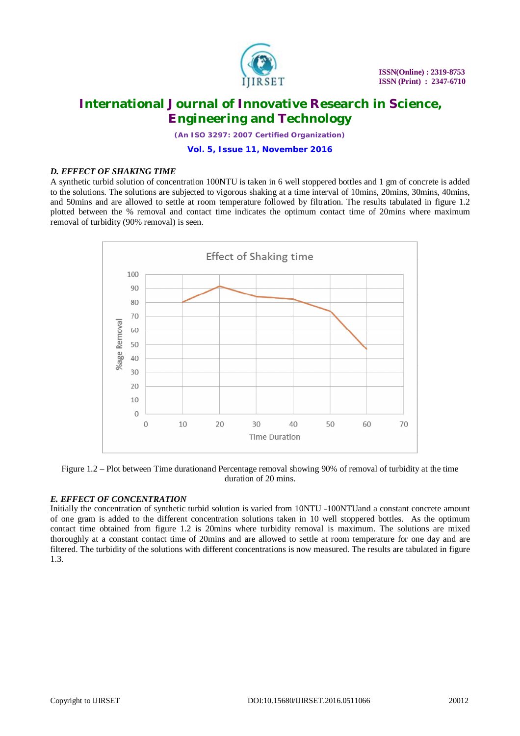

*(An ISO 3297: 2007 Certified Organization)*

**Vol. 5, Issue 11, November 2016**

# *D. EFFECT OF SHAKING TIME*

A synthetic turbid solution of concentration 100NTU is taken in 6 well stoppered bottles and 1 gm of concrete is added to the solutions. The solutions are subjected to vigorous shaking at a time interval of 10mins, 20mins, 30mins, 40mins, and 50mins and are allowed to settle at room temperature followed by filtration. The results tabulated in figure 1.2 plotted between the % removal and contact time indicates the optimum contact time of 20mins where maximum removal of turbidity (90% removal) is seen.



Figure 1.2 – Plot between Time durationand Percentage removal showing 90% of removal of turbidity at the time duration of 20 mins.

# *E. EFFECT OF CONCENTRATION*

Initially the concentration of synthetic turbid solution is varied from 10NTU -100NTUand a constant concrete amount of one gram is added to the different concentration solutions taken in 10 well stoppered bottles. As the optimum contact time obtained from figure 1.2 is 20mins where turbidity removal is maximum. The solutions are mixed thoroughly at a constant contact time of 20mins and are allowed to settle at room temperature for one day and are filtered. The turbidity of the solutions with different concentrations is now measured. The results are tabulated in figure 1.3.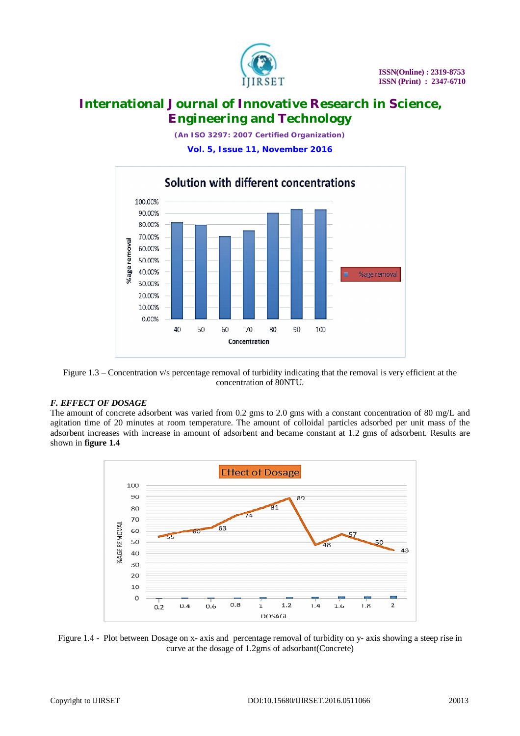

*(An ISO 3297: 2007 Certified Organization)*

**Vol. 5, Issue 11, November 2016**



Figure 1.3 – Concentration v/s percentage removal of turbidity indicating that the removal is very efficient at the concentration of 80NTU.

# *F. EFFECT OF DOSAGE*

The amount of concrete adsorbent was varied from 0.2 gms to 2.0 gms with a constant concentration of 80 mg/L and agitation time of 20 minutes at room temperature. The amount of colloidal particles adsorbed per unit mass of the adsorbent increases with increase in amount of adsorbent and became constant at 1.2 gms of adsorbent. Results are shown in **figure 1.4** 



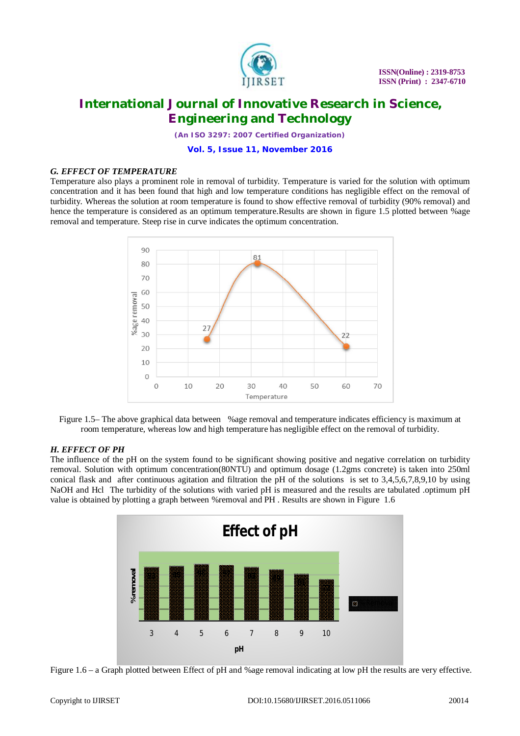

*(An ISO 3297: 2007 Certified Organization)*

## **Vol. 5, Issue 11, November 2016**

# *G. EFFECT OF TEMPERATURE*

Temperature also plays a prominent role in removal of turbidity. Temperature is varied for the solution with optimum concentration and it has been found that high and low temperature conditions has negligible effect on the removal of turbidity. Whereas the solution at room temperature is found to show effective removal of turbidity (90% removal) and hence the temperature is considered as an optimum temperature.Results are shown in figure 1.5 plotted between %age removal and temperature. Steep rise in curve indicates the optimum concentration.



Figure 1.5– The above graphical data between %age removal and temperature indicates efficiency is maximum at room temperature, whereas low and high temperature has negligible effect on the removal of turbidity.

# *H. EFFECT OF PH*

The influence of the pH on the system found to be significant showing positive and negative correlation on turbidity removal. Solution with optimum concentration(80NTU) and optimum dosage (1.2gms concrete) is taken into 250ml conical flask and after continuous agitation and filtration the pH of the solutions is set to 3,4,5,6,7,8,9,10 by using NaOH and Hcl The turbidity of the solutions with varied pH is measured and the results are tabulated .optimum pH value is obtained by plotting a graph between %removal and PH . Results are shown in Figure 1.6



Figure 1.6 – a Graph plotted between Effect of pH and %age removal indicating at low pH the results are very effective.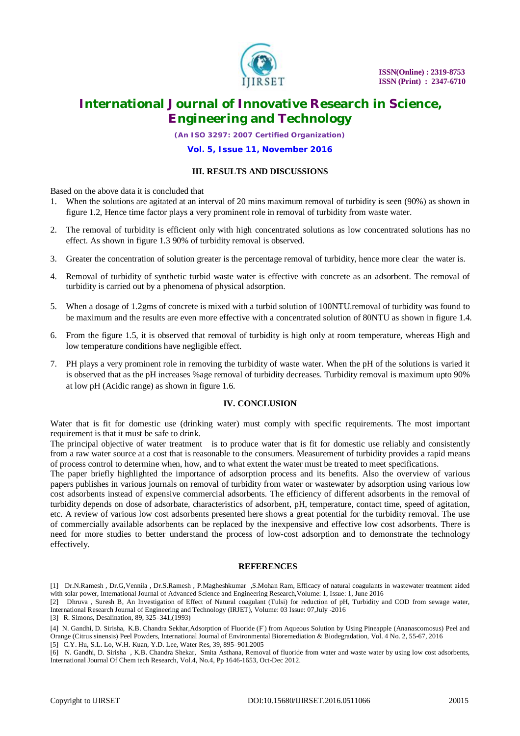

*(An ISO 3297: 2007 Certified Organization)*

## **Vol. 5, Issue 11, November 2016**

## **III. RESULTS AND DISCUSSIONS**

Based on the above data it is concluded that

- 1. When the solutions are agitated at an interval of 20 mins maximum removal of turbidity is seen (90%) as shown in figure 1.2, Hence time factor plays a very prominent role in removal of turbidity from waste water.
- 2. The removal of turbidity is efficient only with high concentrated solutions as low concentrated solutions has no effect. As shown in figure 1.3 90% of turbidity removal is observed.
- 3. Greater the concentration of solution greater is the percentage removal of turbidity, hence more clear the water is.
- 4. Removal of turbidity of synthetic turbid waste water is effective with concrete as an adsorbent. The removal of turbidity is carried out by a phenomena of physical adsorption.
- 5. When a dosage of 1.2gms of concrete is mixed with a turbid solution of 100NTU.removal of turbidity was found to be maximum and the results are even more effective with a concentrated solution of 80NTU as shown in figure 1.4.
- 6. From the figure 1.5, it is observed that removal of turbidity is high only at room temperature, whereas High and low temperature conditions have negligible effect.
- 7. PH plays a very prominent role in removing the turbidity of waste water. When the pH of the solutions is varied it is observed that as the pH increases %age removal of turbidity decreases. Turbidity removal is maximum upto 90% at low pH (Acidic range) as shown in figure 1.6.

### **IV. CONCLUSION**

Water that is fit for domestic use (drinking water) must comply with specific requirements. The most important requirement is that it must be safe to drink.

The principal objective of water treatment is to produce water that is fit for domestic use reliably and consistently from a raw water source at a cost that is reasonable to the consumers. Measurement of turbidity provides a rapid means of process control to determine when, how, and to what extent the water must be treated to meet specifications.

The paper briefly highlighted the importance of adsorption process and its benefits. Also the overview of various papers publishes in various journals on removal of turbidity from water or wastewater by adsorption using various low cost adsorbents instead of expensive commercial adsorbents. The efficiency of different adsorbents in the removal of turbidity depends on dose of adsorbate, characteristics of adsorbent, pH, temperature, contact time, speed of agitation, etc. A review of various low cost adsorbents presented here shows a great potential for the turbidity removal. The use of commercially available adsorbents can be replaced by the inexpensive and effective low cost adsorbents. There is need for more studies to better understand the process of low-cost adsorption and to demonstrate the technology effectively.

### **REFERENCES**

[2] Dhruva , Suresh B, An Investigation of Effect of Natural coagulant (Tulsi) for reduction of pH, Turbidity and COD from sewage water, International Research Journal of Engineering and Technology (IRJET), Volume: 03 Issue: 07,July -2016

[3] R. Simons, Desalination, 89, 325–341,(1993)

[4] N. Gandhi, D. Sirisha, K.B. Chandra Sekhar,Adsorption of Fluoride (F) from Aqueous Solution by Using Pineapple (Ananascomosus) Peel and Orange (Citrus sinensis) Peel Powders, International Journal of Environmental Bioremediation & Biodegradation, Vol. 4 No. 2, 55-67, 2016 [5] C.Y. Hu, S.L. Lo, W.H. Kuan, Y.D. Lee, Water Res, 39, 895–901.2005

<sup>[1]</sup> Dr.N.Ramesh , Dr.G,Vennila , Dr.S.Ramesh , P.Magheshkumar ,S.Mohan Ram, Efficacy of natural coagulants in wastewater treatment aided with solar power, International Journal of Advanced Science and Engineering Research,Volume: 1, Issue: 1, June 2016

<sup>[6]</sup> N. Gandhi, D. Sirisha , K.B. Chandra Shekar, Smita Asthana, Removal of fluoride from water and waste water by using low cost adsorbents, International Journal Of Chem tech Research, Vol.4, No.4, Pp 1646-1653, Oct-Dec 2012.